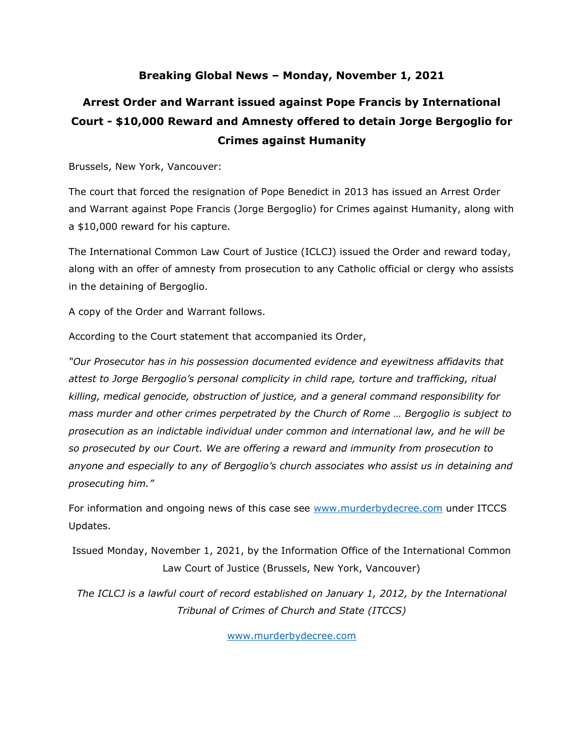#### **Breaking Global News – Monday, November 1, 2021**

### **Arrest Order and Warrant issued against Pope Francis by International Court - \$10,000 Reward and Amnesty offered to detain Jorge Bergoglio for Crimes against Humanity**

Brussels, New York, Vancouver:

The court that forced the resignation of Pope Benedict in 2013 has issued an Arrest Order and Warrant against Pope Francis (Jorge Bergoglio) for Crimes against Humanity, along with a \$10,000 reward for his capture.

The International Common Law Court of Justice (ICLCJ) issued the Order and reward today, along with an offer of amnesty from prosecution to any Catholic official or clergy who assists in the detaining of Bergoglio.

A copy of the Order and Warrant follows.

According to the Court statement that accompanied its Order,

*"Our Prosecutor has in his possession documented evidence and eyewitness affidavits that attest to Jorge Bergoglio's personal complicity in child rape, torture and trafficking, ritual killing, medical genocide, obstruction of justice, and a general command responsibility for mass murder and other crimes perpetrated by the Church of Rome … Bergoglio is subject to prosecution as an indictable individual under common and international law, and he will be so prosecuted by our Court. We are offering a reward and immunity from prosecution to anyone and especially to any of Bergoglio's church associates who assist us in detaining and prosecuting him."*

For information and ongoing news of this case see [www.murderbydecree.com](http://www.murderbydecree.com/) under ITCCS Updates.

Issued Monday, November 1, 2021, by the Information Office of the International Common Law Court of Justice (Brussels, New York, Vancouver)

*The ICLCJ is a lawful court of record established on January 1, 2012, by the International Tribunal of Crimes of Church and State (ITCCS)*

[www.murderbydecree.com](http://www.murderbydecree.com/)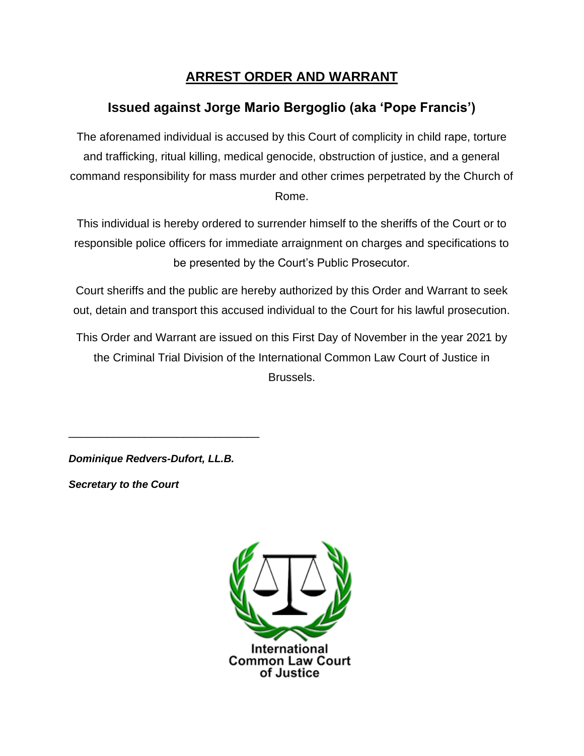#### **ARREST ORDER AND WARRANT**

### **Issued against Jorge Mario Bergoglio (aka 'Pope Francis')**

The aforenamed individual is accused by this Court of complicity in child rape, torture and trafficking, ritual killing, medical genocide, obstruction of justice, and a general command responsibility for mass murder and other crimes perpetrated by the Church of Rome.

This individual is hereby ordered to surrender himself to the sheriffs of the Court or to responsible police officers for immediate arraignment on charges and specifications to be presented by the Court's Public Prosecutor.

Court sheriffs and the public are hereby authorized by this Order and Warrant to seek out, detain and transport this accused individual to the Court for his lawful prosecution.

This Order and Warrant are issued on this First Day of November in the year 2021 by the Criminal Trial Division of the International Common Law Court of Justice in Brussels.

*Dominique Redvers-Dufort, LL.B.*

\_\_\_\_\_\_\_\_\_\_\_\_\_\_\_\_\_\_\_\_\_\_\_\_\_\_\_\_\_\_

*Secretary to the Court*